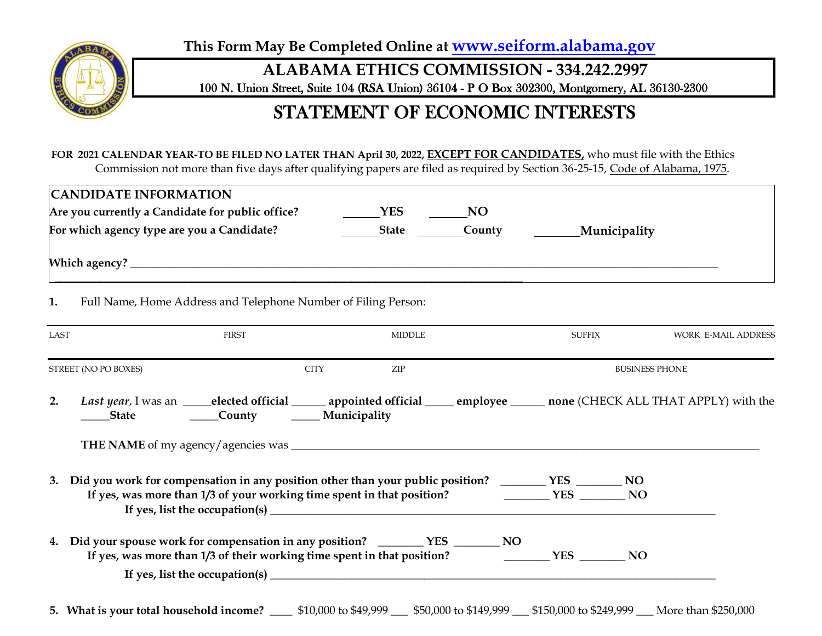**This Form May Be Completed Online at [www.seiform.alabama.gov](http://www.seiform.alabama.gov/)**



**ALABAMA ETHICS COMMISSION - 334.242.2997**

100 N. Union Street, Suite 104 (RSA Union) 36104 - P O Box 302300, Montgomery, AL 36130-2300

# STATEMENT OF ECONOMIC INTERESTS

**FOR 2021 CALENDAR YEAR-TO BE FILED NO LATER THAN April 30, 2022, EXCEPT FOR CANDIDATES,** who must file with the Ethics Commission not more than five days after qualifying papers are filed as required by Section 36-25-15, Code of Alabama, 1975.

|                      | <b>CANDIDATE INFORMATION</b><br>Are you currently a Candidate for public office? $\qquad \qquad \qquad \text{YES} \qquad \qquad \text{NO}$ |               |                       |                            |
|----------------------|--------------------------------------------------------------------------------------------------------------------------------------------|---------------|-----------------------|----------------------------|
|                      | For which agency type are you a Candidate?                                                                                                 | State County  | ________ Municipality |                            |
|                      |                                                                                                                                            |               |                       |                            |
| 1.                   | Full Name, Home Address and Telephone Number of Filing Person:                                                                             |               |                       |                            |
| LAST                 | <b>FIRST</b>                                                                                                                               | <b>MIDDLE</b> | <b>SUFFIX</b>         | <b>WORK E-MAIL ADDRESS</b> |
| STREET (NO PO BOXES) | <b>CITY</b>                                                                                                                                | ZIP           |                       | <b>BUSINESS PHONE</b>      |
|                      |                                                                                                                                            |               |                       |                            |
| 2.                   | Last year, I was an ___elected official ______ appointed official _____ employee ______ none (CHECK ALL THAT APPLY) with the               |               |                       |                            |
|                      |                                                                                                                                            |               |                       |                            |
| 3.                   | Did you work for compensation in any position other than your public position? _______ YES _______ NO                                      |               |                       |                            |
|                      | 4. Did your spouse work for compensation in any position? _________ YES _______ NO                                                         |               |                       |                            |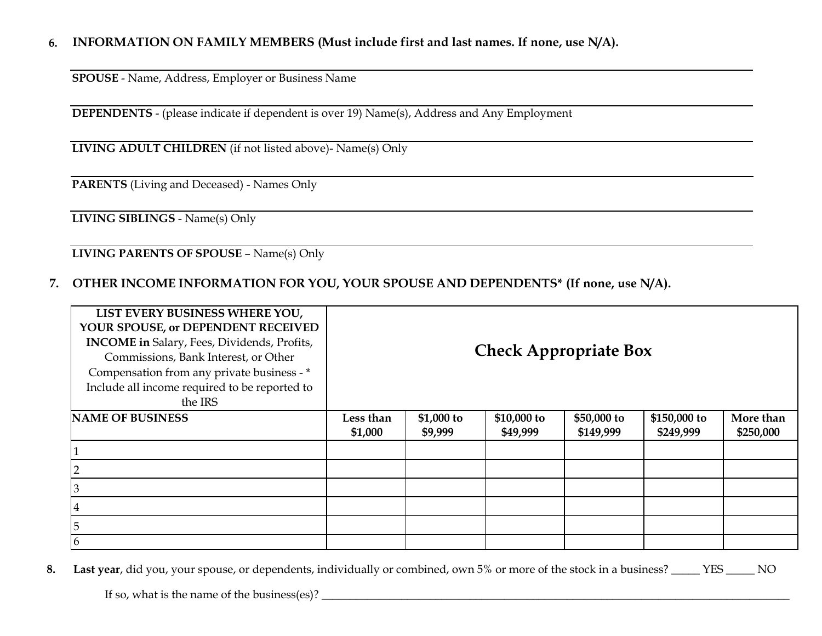#### **6. INFORMATION ON FAMILY MEMBERS (Must include first and last names. If none, use N/A).**

**SPOUSE** - Name, Address, Employer or Business Name

**DEPENDENTS** - (please indicate if dependent is over 19) Name(s), Address and Any Employment

**LIVING ADULT CHILDREN** (if not listed above)- Name(s) Only

**PARENTS** (Living and Deceased) - Names Only

**LIVING SIBLINGS** - Name(s) Only

**LIVING PARENTS OF SPOUSE** – Name(s) Only

#### **7. OTHER INCOME INFORMATION FOR YOU, YOUR SPOUSE AND DEPENDENTS\* (If none, use N/A).**

| LIST EVERY BUSINESS WHERE YOU,<br>YOUR SPOUSE, or DEPENDENT RECEIVED<br>INCOME in Salary, Fees, Dividends, Profits,<br>Commissions, Bank Interest, or Other<br>Compensation from any private business - *<br>Include all income required to be reported to<br>the IRS |           |             |             | <b>Check Appropriate Box</b> |              |           |
|-----------------------------------------------------------------------------------------------------------------------------------------------------------------------------------------------------------------------------------------------------------------------|-----------|-------------|-------------|------------------------------|--------------|-----------|
| <b>NAME OF BUSINESS</b>                                                                                                                                                                                                                                               | Less than | $$1,000$ to | \$10,000 to | \$50,000 to                  | \$150,000 to | More than |
|                                                                                                                                                                                                                                                                       | \$1,000   | \$9,999     | \$49,999    | \$149,999                    | \$249,999    | \$250,000 |
|                                                                                                                                                                                                                                                                       |           |             |             |                              |              |           |
|                                                                                                                                                                                                                                                                       |           |             |             |                              |              |           |
|                                                                                                                                                                                                                                                                       |           |             |             |                              |              |           |
| 4                                                                                                                                                                                                                                                                     |           |             |             |                              |              |           |
| 5                                                                                                                                                                                                                                                                     |           |             |             |                              |              |           |
| 6                                                                                                                                                                                                                                                                     |           |             |             |                              |              |           |

 **8. Last year**, did you, your spouse, or dependents, individually or combined, own 5% or more of the stock in a business? \_\_\_\_\_ YES \_\_\_\_\_ NO

If so, what is the name of the business(es)? \_\_\_\_\_\_\_\_\_\_\_\_\_\_\_\_\_\_\_\_\_\_\_\_\_\_\_\_\_\_\_\_\_\_\_\_\_\_\_\_\_\_\_\_\_\_\_\_\_\_\_\_\_\_\_\_\_\_\_\_\_\_\_\_\_\_\_\_\_\_\_\_\_\_\_\_\_\_\_\_\_\_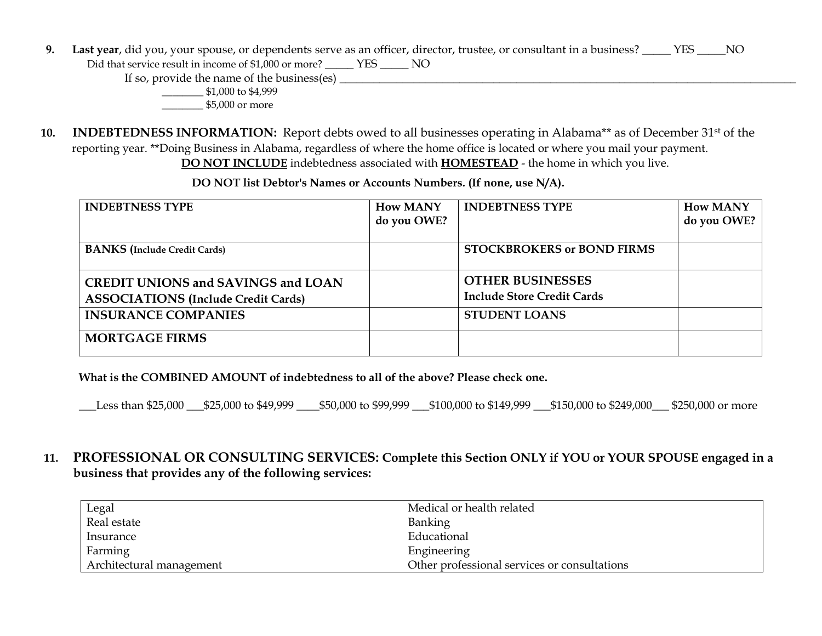**9. Last year**, did you, your spouse, or dependents serve as an officer, director, trustee, or consultant in a business? \_\_\_\_\_ YES \_\_\_\_\_NO

Did that service result in income of \$1,000 or more? \_\_\_\_\_ YES \_\_\_\_\_ NO

If so, provide the name of the business(es) \_\_\_\_\_\_\_\_\_\_\_\_\_\_\_\_\_\_\_\_\_\_\_\_\_\_\_\_\_\_\_\_\_\_\_\_\_\_\_\_\_\_\_\_\_\_\_\_\_\_\_\_\_\_\_\_\_\_\_\_\_\_\_\_\_\_\_\_\_\_\_\_\_\_\_\_\_\_\_\_

\_\_\_\_\_\_\_\_ \$1,000 to \$4,999

\_\_\_\_\_\_\_\_ \$5,000 or more

 **10. INDEBTEDNESS INFORMATION:** Report debts owed to all businesses operating in Alabama\*\* as of December 31st of the reporting year. \*\*Doing Business in Alabama, regardless of where the home office is located or where you mail your payment. **DO NOT INCLUDE** indebtedness associated with **HOMESTEAD** - the home in which you live.

 **DO NOT list Debtor's Names or Accounts Numbers. (If none, use N/A).**

| <b>INDEBTNESS TYPE</b>                                                                  | <b>How MANY</b><br>do you OWE? | <b>INDEBTNESS TYPE</b>                                       | <b>How MANY</b><br>do you OWE? |
|-----------------------------------------------------------------------------------------|--------------------------------|--------------------------------------------------------------|--------------------------------|
| <b>BANKS</b> (Include Credit Cards)                                                     |                                | <b>STOCKBROKERS or BOND FIRMS</b>                            |                                |
| <b>CREDIT UNIONS and SAVINGS and LOAN</b><br><b>ASSOCIATIONS (Include Credit Cards)</b> |                                | <b>OTHER BUSINESSES</b><br><b>Include Store Credit Cards</b> |                                |
| <b>INSURANCE COMPANIES</b>                                                              |                                | <b>STUDENT LOANS</b>                                         |                                |
| <b>MORTGAGE FIRMS</b>                                                                   |                                |                                                              |                                |

**What is the COMBINED AMOUNT of indebtedness to all of the above? Please check one.** 

\_\_\_Less than \$25,000 \_\_\_\$25,000 to \$49,999 \_\_\_\_\$50,000 to \$99,999 \_\_\_\$100,000 to \$149,999 \_\_\_\$150,000 to \$249,000\_\_\_ \$250,000 or more

 **11. PROFESSIONAL OR CONSULTING SERVICES: Complete this Section ONLY if YOU or YOUR SPOUSE engaged in a business that provides any of the following services:**

| Legal                    | Medical or health related                    |
|--------------------------|----------------------------------------------|
| Real estate              | Banking                                      |
| Insurance                | Educational                                  |
| Farming                  | Engineering                                  |
| Architectural management | Other professional services or consultations |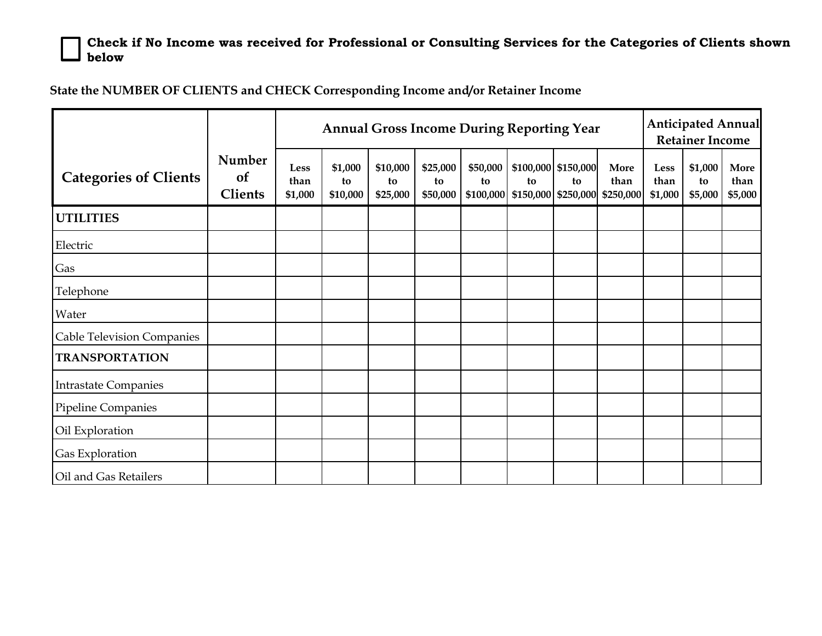**Check if No Income was received for Professional or Consulting Services for the Categories of Clients shown below**

**State the NUMBER OF CLIENTS and CHECK Corresponding Income and/or Retainer Income**

|                                   |                                       |                         | <b>Annual Gross Income During Reporting Year</b> |                            |                            |                             |                           |                           | <b>Anticipated Annual</b><br><b>Retainer Income</b> |                         |                          |                         |
|-----------------------------------|---------------------------------------|-------------------------|--------------------------------------------------|----------------------------|----------------------------|-----------------------------|---------------------------|---------------------------|-----------------------------------------------------|-------------------------|--------------------------|-------------------------|
| <b>Categories of Clients</b>      | Number<br><b>of</b><br><b>Clients</b> | Less<br>than<br>\$1,000 | \$1,000<br>to<br>\$10,000                        | \$10,000<br>to<br>\$25,000 | \$25,000<br>to<br>\$50,000 | \$50,000<br>to<br>\$100,000 | to<br>\$150,000 \$250,000 | \$100,000 \$150,000<br>to | More<br>than<br>\$250,000                           | Less<br>than<br>\$1,000 | \$1,000<br>to<br>\$5,000 | More<br>than<br>\$5,000 |
| <b>UTILITIES</b>                  |                                       |                         |                                                  |                            |                            |                             |                           |                           |                                                     |                         |                          |                         |
| Electric                          |                                       |                         |                                                  |                            |                            |                             |                           |                           |                                                     |                         |                          |                         |
| Gas                               |                                       |                         |                                                  |                            |                            |                             |                           |                           |                                                     |                         |                          |                         |
| Telephone                         |                                       |                         |                                                  |                            |                            |                             |                           |                           |                                                     |                         |                          |                         |
| Water                             |                                       |                         |                                                  |                            |                            |                             |                           |                           |                                                     |                         |                          |                         |
| <b>Cable Television Companies</b> |                                       |                         |                                                  |                            |                            |                             |                           |                           |                                                     |                         |                          |                         |
| <b>TRANSPORTATION</b>             |                                       |                         |                                                  |                            |                            |                             |                           |                           |                                                     |                         |                          |                         |
| <b>Intrastate Companies</b>       |                                       |                         |                                                  |                            |                            |                             |                           |                           |                                                     |                         |                          |                         |
| Pipeline Companies                |                                       |                         |                                                  |                            |                            |                             |                           |                           |                                                     |                         |                          |                         |
| Oil Exploration                   |                                       |                         |                                                  |                            |                            |                             |                           |                           |                                                     |                         |                          |                         |
| Gas Exploration                   |                                       |                         |                                                  |                            |                            |                             |                           |                           |                                                     |                         |                          |                         |
| Oil and Gas Retailers             |                                       |                         |                                                  |                            |                            |                             |                           |                           |                                                     |                         |                          |                         |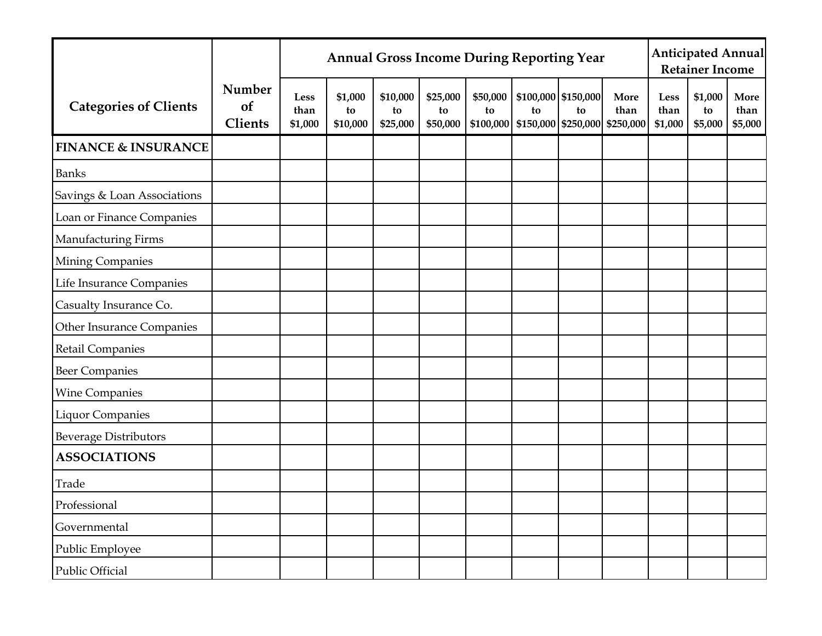|                                |                                |                                | <b>Annual Gross Income During Reporting Year</b> |                            |                            |                |                                                            | <b>Anticipated Annual</b><br><b>Retainer Income</b> |              |                         |                          |                         |
|--------------------------------|--------------------------------|--------------------------------|--------------------------------------------------|----------------------------|----------------------------|----------------|------------------------------------------------------------|-----------------------------------------------------|--------------|-------------------------|--------------------------|-------------------------|
| <b>Categories of Clients</b>   | Number<br>of<br><b>Clients</b> | <b>Less</b><br>than<br>\$1,000 | \$1,000<br>to<br>\$10,000                        | \$10,000<br>to<br>\$25,000 | \$25,000<br>to<br>\$50,000 | \$50,000<br>to | to<br>$\mid$ \$100,000   \$150,000   \$250,000   \$250,000 | \$100,000 \$150,000<br>to                           | More<br>than | Less<br>than<br>\$1,000 | \$1,000<br>to<br>\$5,000 | More<br>than<br>\$5,000 |
| <b>FINANCE &amp; INSURANCE</b> |                                |                                |                                                  |                            |                            |                |                                                            |                                                     |              |                         |                          |                         |
| <b>Banks</b>                   |                                |                                |                                                  |                            |                            |                |                                                            |                                                     |              |                         |                          |                         |
| Savings & Loan Associations    |                                |                                |                                                  |                            |                            |                |                                                            |                                                     |              |                         |                          |                         |
| Loan or Finance Companies      |                                |                                |                                                  |                            |                            |                |                                                            |                                                     |              |                         |                          |                         |
| Manufacturing Firms            |                                |                                |                                                  |                            |                            |                |                                                            |                                                     |              |                         |                          |                         |
| Mining Companies               |                                |                                |                                                  |                            |                            |                |                                                            |                                                     |              |                         |                          |                         |
| Life Insurance Companies       |                                |                                |                                                  |                            |                            |                |                                                            |                                                     |              |                         |                          |                         |
| Casualty Insurance Co.         |                                |                                |                                                  |                            |                            |                |                                                            |                                                     |              |                         |                          |                         |
| Other Insurance Companies      |                                |                                |                                                  |                            |                            |                |                                                            |                                                     |              |                         |                          |                         |
| <b>Retail Companies</b>        |                                |                                |                                                  |                            |                            |                |                                                            |                                                     |              |                         |                          |                         |
| <b>Beer Companies</b>          |                                |                                |                                                  |                            |                            |                |                                                            |                                                     |              |                         |                          |                         |
| <b>Wine Companies</b>          |                                |                                |                                                  |                            |                            |                |                                                            |                                                     |              |                         |                          |                         |
| <b>Liquor Companies</b>        |                                |                                |                                                  |                            |                            |                |                                                            |                                                     |              |                         |                          |                         |
| <b>Beverage Distributors</b>   |                                |                                |                                                  |                            |                            |                |                                                            |                                                     |              |                         |                          |                         |
| <b>ASSOCIATIONS</b>            |                                |                                |                                                  |                            |                            |                |                                                            |                                                     |              |                         |                          |                         |
| Trade                          |                                |                                |                                                  |                            |                            |                |                                                            |                                                     |              |                         |                          |                         |
| Professional                   |                                |                                |                                                  |                            |                            |                |                                                            |                                                     |              |                         |                          |                         |
| Governmental                   |                                |                                |                                                  |                            |                            |                |                                                            |                                                     |              |                         |                          |                         |
| Public Employee                |                                |                                |                                                  |                            |                            |                |                                                            |                                                     |              |                         |                          |                         |
| Public Official                |                                |                                |                                                  |                            |                            |                |                                                            |                                                     |              |                         |                          |                         |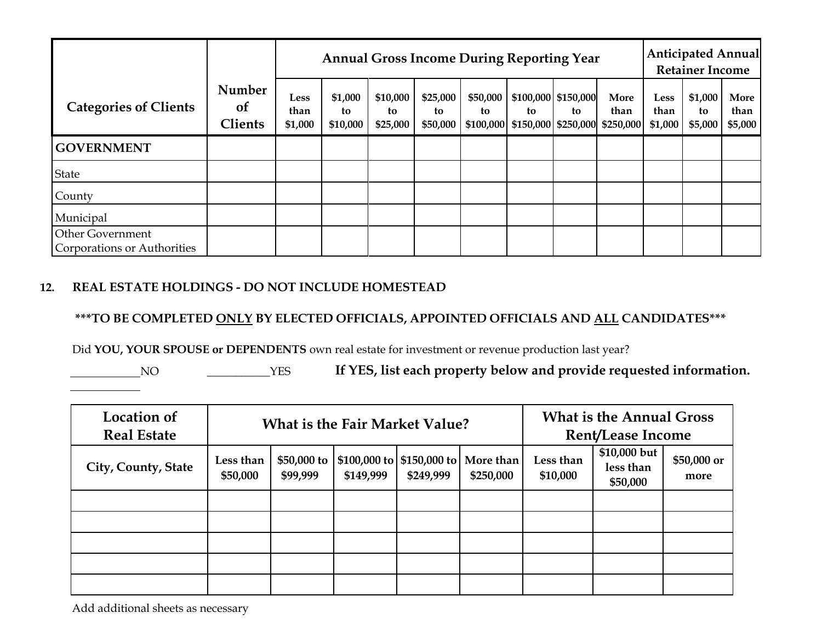|                                                        |                                           |                                | <b>Annual Gross Income During Reporting Year</b> |                            |                            |                |                                                                      | <b>Anticipated Annual</b><br><b>Retainer Income</b> |              |                         |                          |                         |
|--------------------------------------------------------|-------------------------------------------|--------------------------------|--------------------------------------------------|----------------------------|----------------------------|----------------|----------------------------------------------------------------------|-----------------------------------------------------|--------------|-------------------------|--------------------------|-------------------------|
| <b>Categories of Clients</b>                           | Number<br><sub>of</sub><br><b>Clients</b> | <b>Less</b><br>than<br>\$1,000 | \$1,000<br>to<br>\$10,000                        | \$10,000<br>to<br>\$25,000 | \$25,000<br>to<br>\$50,000 | \$50,000<br>to | \$100,000 \$150,000<br>to<br>\$100,000 \$150,000 \$250,000 \$250,000 | to                                                  | More<br>than | Less<br>than<br>\$1,000 | \$1,000<br>to<br>\$5,000 | More<br>than<br>\$5,000 |
| <b>GOVERNMENT</b>                                      |                                           |                                |                                                  |                            |                            |                |                                                                      |                                                     |              |                         |                          |                         |
| <b>State</b>                                           |                                           |                                |                                                  |                            |                            |                |                                                                      |                                                     |              |                         |                          |                         |
| County                                                 |                                           |                                |                                                  |                            |                            |                |                                                                      |                                                     |              |                         |                          |                         |
| Municipal                                              |                                           |                                |                                                  |                            |                            |                |                                                                      |                                                     |              |                         |                          |                         |
| <b>Other Government</b><br>Corporations or Authorities |                                           |                                |                                                  |                            |                            |                |                                                                      |                                                     |              |                         |                          |                         |

#### **12. REAL ESTATE HOLDINGS - DO NOT INCLUDE HOMESTEAD**

**\*\*\*TO BE COMPLETED ONLY BY ELECTED OFFICIALS, APPOINTED OFFICIALS AND ALL CANDIDATES\*\*\***

Did **YOU, YOUR SPOUSE or DEPENDENTS** own real estate for investment or revenue production last year?

NO \_\_\_\_\_\_\_\_\_\_\_YES **If YES, list each property below and provide requested information.**

| <b>Location of</b><br><b>Real Estate</b> |                       |                         | <b>What is the Fair Market Value?</b> | <b>What is the Annual Gross</b><br><b>Rent/Lease Income</b> |                        |                       |                                       |                     |
|------------------------------------------|-----------------------|-------------------------|---------------------------------------|-------------------------------------------------------------|------------------------|-----------------------|---------------------------------------|---------------------|
| City, County, State                      | Less than<br>\$50,000 | \$50,000 to<br>\$99,999 | \$149,999                             | $\mid$ \$100,000 to $\mid$ \$150,000 to $\mid$<br>\$249,999 | More than<br>\$250,000 | Less than<br>\$10,000 | \$10,000 but<br>less than<br>\$50,000 | \$50,000 or<br>more |
|                                          |                       |                         |                                       |                                                             |                        |                       |                                       |                     |
|                                          |                       |                         |                                       |                                                             |                        |                       |                                       |                     |
|                                          |                       |                         |                                       |                                                             |                        |                       |                                       |                     |
|                                          |                       |                         |                                       |                                                             |                        |                       |                                       |                     |
|                                          |                       |                         |                                       |                                                             |                        |                       |                                       |                     |

Add additional sheets as necessary